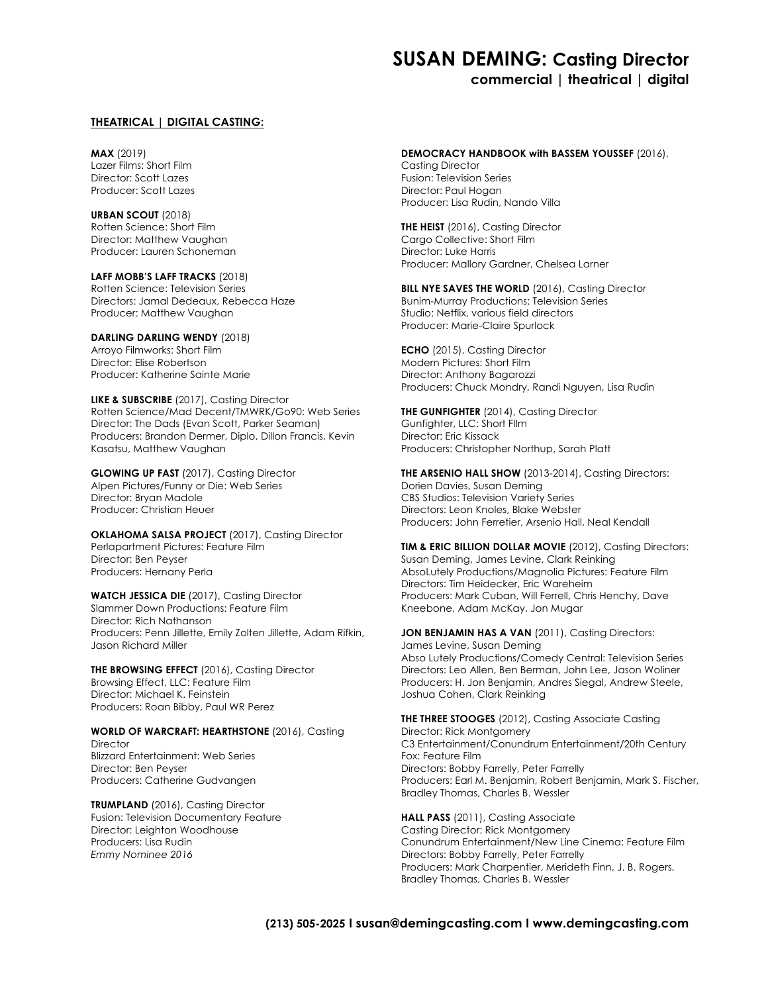# **SUSAN DEMING: Casting Director**

### **commercial | theatrical | digital**

#### **THEATRICAL | DIGITAL CASTING:**

**MAX** (2019) Lazer Films: Short Film Director: Scott Lazes Producer: Scott Lazes

**URBAN SCOUT** (2018) Rotten Science: Short Film Director: Matthew Vaughan Producer: Lauren Schoneman

**LAFF MOBB'S LAFF TRACKS** (2018) Rotten Science: Television Series Directors: Jamal Dedeaux, Rebecca Haze Producer: Matthew Vaughan

**DARLING DARLING WENDY** (2018) Arroyo Filmworks: Short Film Director: Elise Robertson Producer: Katherine Sainte Marie

**LIKE & SUBSCRIBE** (2017), Casting Director Rotten Science/Mad Decent/TMWRK/Go90: Web Series Director: The Dads (Evan Scott, Parker Seaman) Producers: Brandon Dermer, Diplo, Dillon Francis, Kevin Kasatsu, Matthew Vaughan

**GLOWING UP FAST** (2017), Casting Director Alpen Pictures/Funny or Die: Web Series Director: Bryan Madole Producer: Christian Heuer

**OKLAHOMA SALSA PROJECT** (2017), Casting Director Perlapartment Pictures: Feature Film Director: Ben Peyser Producers: Hernany Perla

**WATCH JESSICA DIE** (2017), Casting Director Slammer Down Productions: Feature Film Director: Rich Nathanson Producers: Penn Jillette, Emily Zolten Jillette, Adam Rifkin, Jason Richard Miller

**THE BROWSING EFFECT** (2016), Casting Director Browsing Effect, LLC: Feature Film Director: Michael K. Feinstein Producers: Roan Bibby, Paul WR Perez

**WORLD OF WARCRAFT: HEARTHSTONE** (2016), Casting **Director** Blizzard Entertainment: Web Series Director: Ben Peyser Producers: Catherine Gudvangen

**TRUMPLAND** (2016), Casting Director Fusion: Television Documentary Feature Director: Leighton Woodhouse Producers: Lisa Rudin *Emmy Nominee 2016*

#### **DEMOCRACY HANDBOOK with BASSEM YOUSSEF** (2016),

Casting Director Fusion: Television Series Director: Paul Hogan Producer: Lisa Rudin, Nando Villa

**THE HEIST** (2016), Casting Director Cargo Collective: Short Film Director: Luke Harris Producer: Mallory Gardner, Chelsea Larner

**BILL NYE SAVES THE WORLD** (2016), Casting Director Bunim-Murray Productions: Television Series Studio: Netflix, various field directors Producer: Marie-Claire Spurlock

**ECHO** (2015), Casting Director Modern Pictures: Short Film Director: Anthony Bagarozzi Producers: Chuck Mondry, Randi Nguyen, Lisa Rudin

**THE GUNFIGHTER** (2014), Casting Director Gunfighter, LLC: Short FIlm Director: Eric Kissack Producers: Christopher Northup, Sarah Platt

**THE ARSENIO HALL SHOW** (2013-2014), Casting Directors: Dorien Davies, Susan Deming CBS Studios: Television Variety Series Directors: Leon Knoles, Blake Webster Producers: John Ferretier, Arsenio Hall, Neal Kendall

**TIM & ERIC BILLION DOLLAR MOVIE** (2012), Casting Directors: Susan Deming, James Levine, Clark Reinking AbsoLutely Productions/Magnolia Pictures: Feature Film Directors: Tim Heidecker, Eric Wareheim Producers: Mark Cuban, Will Ferrell, Chris Henchy, Dave Kneebone, Adam McKay, Jon Mugar

JON BENJAMIN HAS A VAN (2011), Casting Directors: James Levine, Susan Deming Abso Lutely Productions/Comedy Central: Television Series Directors: Leo Allen, Ben Berman, John Lee, Jason Woliner Producers: H. Jon Benjamin, Andres Siegal, Andrew Steele, Joshua Cohen, Clark Reinking

**THE THREE STOOGES** (2012), Casting Associate Casting Director: Rick Montgomery C3 Entertainment/Conundrum Entertainment/20th Century Fox: Feature Film Directors: Bobby Farrelly, Peter Farrelly Producers: Earl M. Benjamin, Robert Benjamin, Mark S. Fischer, Bradley Thomas, Charles B. Wessler

**HALL PASS** (2011), Casting Associate Casting Director: Rick Montgomery Conundrum Entertainment/New Line Cinema: Feature Film Directors: Bobby Farrelly, Peter Farrelly Producers: Mark Charpentier, Merideth Finn, J. B. Rogers, Bradley Thomas, Charles B. Wessler